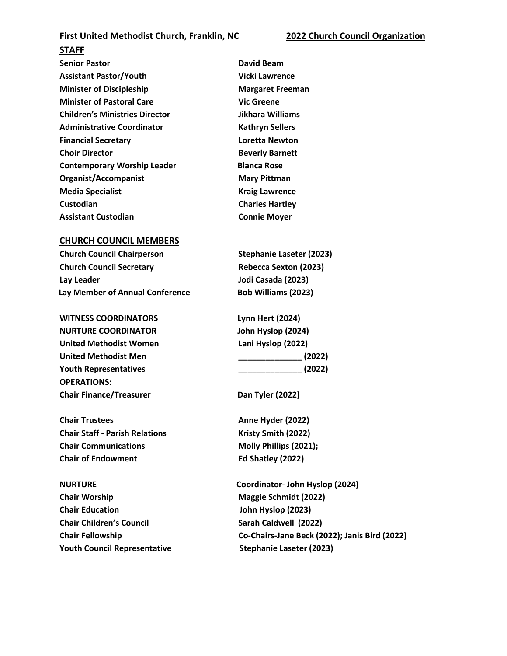## **First United Methodist Church, Franklin, NC 2022 Church Council Organization**

## **STAFF**

**Senior Pastor Community Community Community Particle David Beam Assistant Pastor/Youth Vicki Lawrence Minister of Discipleship Margaret Freeman Minister of Pastoral Care Vic Greene Children's Ministries Director Jikhara Williams Administrative Coordinator Kathryn Sellers Financial Secretary Loretta Newton Choir Director Beverly Barnett Contemporary Worship Leader Blanca Rose Organist/Accompanist Mary Pittman Media Specialist Kraig Lawrence Custodian Custodian Charles Hartley** Assistant Custodian **CONNET CONNET CONNET CONNET CONNET CONNET CONNET CONNET CONNET CONNECT CONNECT CONNECT CONNECT CONNECT CONNECT CONNECT CONNECT CONNECT CONNECT CONNECT CONNECT CONNECT CONNECT CONNECT CONNECT CONNECT CO** 

## **CHURCH COUNCIL MEMBERS**

| <b>Church Council Chairperson</b>      |
|----------------------------------------|
| <b>Church Council Secretary</b>        |
| Lay Leader                             |
| <b>Lay Member of Annual Conference</b> |

**WITNESS COORDINATORS NURTURE COORDINATOR United Methodist Women United Methodist Men \_\_\_\_\_\_\_\_\_\_\_\_\_\_ (2022) Youth Representatives \_\_\_\_\_\_\_\_\_\_\_\_\_\_ (2022) OPERATIONS: Chair Finance/Treasurer Chair Finance/Treasurer Dan Tyler (2022)** 

**Chair Trustees Anne Hyder (2022) Anne Hyder (2022) Chair Staff - Parish Relations** Kristy Smith (2022) **Chair Communications Molly Phillips (2021); Chair of Endowment Ed Shatley (2022)** 

**Chair Worship Chair Worship Chair Worship Maggie Schmidt (2022) Chair Education John Hyslop (2023) Chair Children's Council Sarah Caldwell (2022) Youth Council Representative Stephanie Laseter (2023)** 

**Church Council Chairperson Stephanie Laseter (2023) Church Council Secretary Rebecca Sexton (2023) Lay Leader Jodi Casada (2023) Bob Williams (2023)** 

| <b>Lynn Hert (2024)</b> |
|-------------------------|
| John Hyslop (2024)      |
| Lani Hyslop (2022)      |
| (2022)                  |
| (2022)                  |

**NURTURE Coordinator- John Hyslop (2024) Chair Fellowship Co-Chairs-Jane Beck (2022); Janis Bird (2022)**